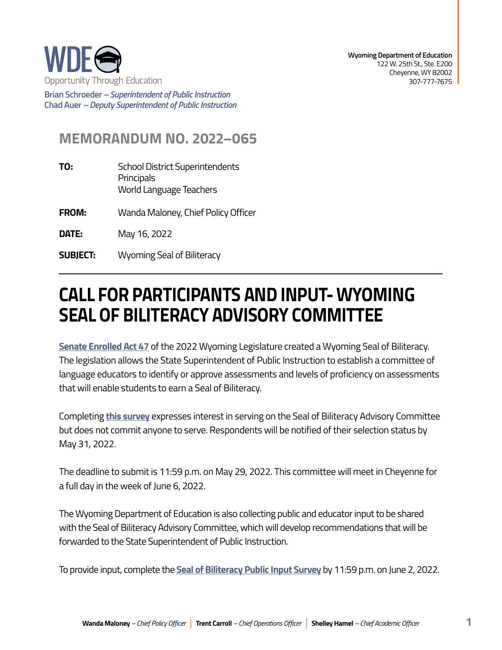

**Wyoming Department of Education**  122 W. 25th St., Ste. E200 Cheyenne, WY 82002 307-777-7675

**Brian Schroeder –***Superintendent of Public Instruction*  **Chad Auer** *– Deputy Superintendent of Public Instruction* 

## **MEMORANDUM NO. 2022–065**

- **TO:** School District Superintendents **Principals** World Language Teachers
- **FROM:** Wanda Maloney, Chief Policy Officer
- **DATE:** May 16, 2022
- **SUBJECT:** Wyoming Seal of Biliteracy

## **CALL FOR PARTICIPANTS AND INPUT- WYOMING SEAL OF BILITERACY ADVISORY COMMITTEE**

**[Senate Enrolled Act 47](https://wyoleg.gov/Legislation/2022/SF0078)** of the 2022 Wyoming Legislature created a Wyoming Seal of Biliteracy. The legislation allows the State Superintendent of Public Instruction to establish a committee of language educators to identify or approve assessments and levels of proficiency on assessments that will enable students to earn a Seal of Biliteracy.

Completing **[this survey](https://docs.google.com/forms/d/e/1FAIpQLSdH3kMf-t2BMxZxE9pqBShMG5MWjlndujZ1hYAGJkKNodBDKQ/viewform?usp=sf_link)** expresses interest in serving on the Seal of Biliteracy Advisory Committee but does not commit anyone to serve. Respondents will be notified of their selection status by May 31, 2022.

The deadline to submit is 11:59 p.m. on May 29, 2022. This committee will meet in Cheyenne for a full day in the week of June 6, 2022.

The Wyoming Department of Education is also collecting public and educator input to be shared with the Seal of Biliteracy Advisory Committee, which will develop recommendations that will be forwarded to the State Superintendent of Public Instruction.

To provide input, complete the **[Seal of Biliteracy Public Input Survey](https://docs.google.com/forms/d/e/1FAIpQLSdS6sK5Kz7RcjKObBNAA-w1qzFt975Yh3Jg1xBobq_JbvcdtA/viewform?usp=sf_link)** by 11:59 p.m. on June 2, 2022.